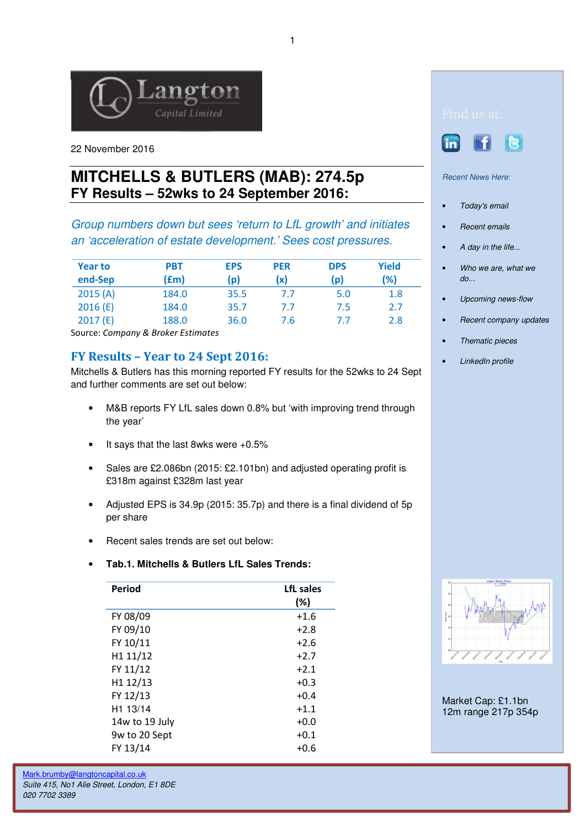

22 November 2016

# **MITCHELLS & BUTLERS (MAB): 274.5p FY Results – 52wks to 24 September 2016:**

Group numbers down but sees 'return to LfL growth' and initiates an 'acceleration of estate development.' Sees cost pressures.

| <b>Year to</b> | PBT   | <b>EPS</b> | <b>PER</b> | <b>DPS</b> | <b>Yield</b> |
|----------------|-------|------------|------------|------------|--------------|
| end-Sep        | (fm)  | (p)        | (x)        | (p)        | (%)          |
| 2015(A)        | 184.0 | 35.5       | 7.7        | 5.0        | 1.8          |
| 2016(E)        | 184.0 | 35.7       | 7.7        | 7.5        | 2.7          |
| 2017(E)        | 188.0 | 36.0       | 7.6        | 7.7        | 2.8          |

Source: Company & Broker Estimates

# FY Results – Year to 24 Sept 2016:

Mitchells & Butlers has this morning reported FY results for the 52wks to 24 Sept and further comments are set out below:

- M&B reports FY LfL sales down 0.8% but 'with improving trend through the year'
- It says that the last 8wks were +0.5%
- Sales are £2.086bn (2015: £2.101bn) and adjusted operating profit is £318m against £328m last year
- Adjusted EPS is 34.9p (2015: 35.7p) and there is a final dividend of 5p per share
- Recent sales trends are set out below:

# • **Tab.1. Mitchells & Butlers LfL Sales Trends:**

| Period               | LfL sales |  |
|----------------------|-----------|--|
|                      | $(\%)$    |  |
| FY 08/09             | $+1.6$    |  |
| FY 09/10             | $+2.8$    |  |
| FY 10/11             | $+2.6$    |  |
| H1 11/12             | $+2.7$    |  |
| FY 11/12             | $+2.1$    |  |
| H1 12/13             | $+0.3$    |  |
| FY 12/13             | $+0.4$    |  |
| H <sub>1</sub> 13/14 | $+1.1$    |  |
| 14w to 19 July       | $+0.0$    |  |
| 9w to 20 Sept        | $+0.1$    |  |
| FY 13/14             | $+0.6$    |  |
|                      |           |  |



 $\overline{a}$ 

#### Recent News Here:

- Today's email
- Recent emails
- A day in the life...
- Who we are, what we do...
- Upcoming news-flow
- Recent company updates
- Thematic pieces
- LinkedIn profile



Market Cap: £1.1bn 12m range 217p 354p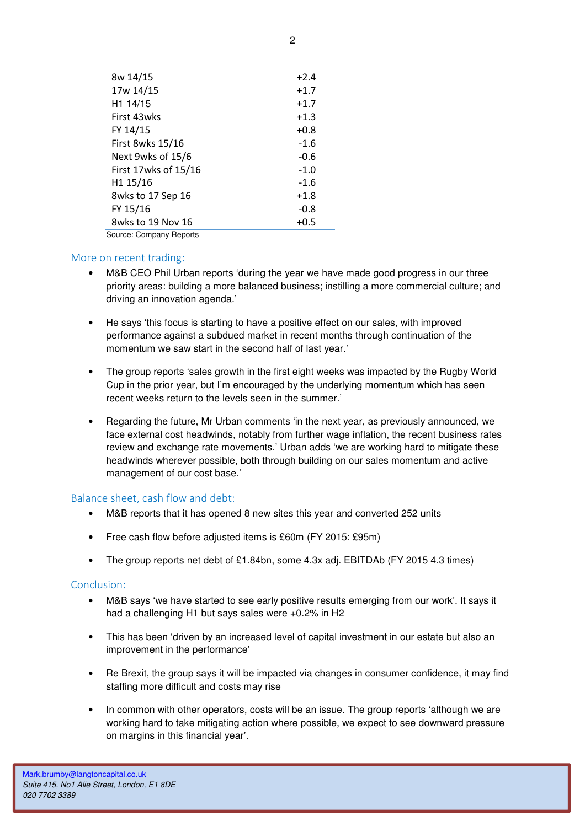| 8w 14/15                | $+2.4$ |  |  |  |
|-------------------------|--------|--|--|--|
| 17w 14/15               | $+1.7$ |  |  |  |
| H <sub>1</sub> 14/15    | $+1.7$ |  |  |  |
| First 43wks             | $+1.3$ |  |  |  |
| FY 14/15                | $+0.8$ |  |  |  |
| First 8wks 15/16        | $-1.6$ |  |  |  |
| Next 9wks of 15/6       | $-0.6$ |  |  |  |
| First 17wks of 15/16    | $-1.0$ |  |  |  |
| H <sub>1</sub> 15/16    | $-1.6$ |  |  |  |
| 8wks to 17 Sep 16       | $+1.8$ |  |  |  |
| FY 15/16                | $-0.8$ |  |  |  |
| 8wks to 19 Nov 16       | $+0.5$ |  |  |  |
| Course: Company Doporto |        |  |  |  |

Source: Company Reports

# More on recent trading:

- M&B CEO Phil Urban reports 'during the year we have made good progress in our three priority areas: building a more balanced business; instilling a more commercial culture; and driving an innovation agenda.'
- He says 'this focus is starting to have a positive effect on our sales, with improved performance against a subdued market in recent months through continuation of the momentum we saw start in the second half of last year.'
- The group reports 'sales growth in the first eight weeks was impacted by the Rugby World Cup in the prior year, but I'm encouraged by the underlying momentum which has seen recent weeks return to the levels seen in the summer.'
- Regarding the future, Mr Urban comments 'in the next year, as previously announced, we face external cost headwinds, notably from further wage inflation, the recent business rates review and exchange rate movements.' Urban adds 'we are working hard to mitigate these headwinds wherever possible, both through building on our sales momentum and active management of our cost base.'

# Balance sheet, cash flow and debt:

- M&B reports that it has opened 8 new sites this year and converted 252 units
- Free cash flow before adjusted items is £60m (FY 2015: £95m)
- The group reports net debt of £1.84bn, some 4.3x adj. EBITDAb (FY 2015 4.3 times)

# Conclusion:

- M&B says 'we have started to see early positive results emerging from our work'. It says it had a challenging H1 but says sales were +0.2% in H2
- This has been 'driven by an increased level of capital investment in our estate but also an improvement in the performance'
- Re Brexit, the group says it will be impacted via changes in consumer confidence, it may find staffing more difficult and costs may rise
- In common with other operators, costs will be an issue. The group reports 'although we are working hard to take mitigating action where possible, we expect to see downward pressure on margins in this financial year'.